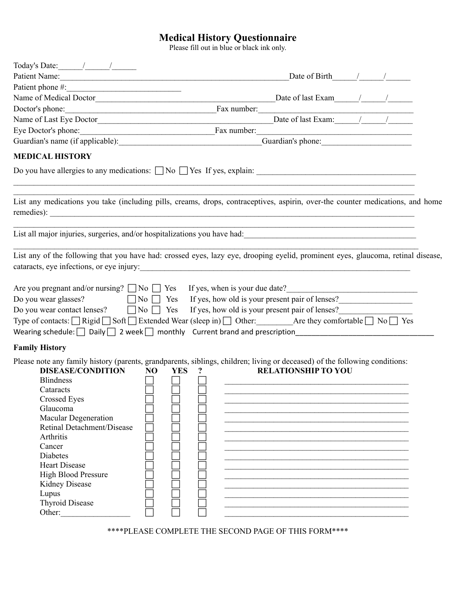## **Medical History Questionnaire**

Please fill out in blue or black ink only.

| Today's Date: $\frac{1}{\sqrt{2\pi}}$                                                                                                                                                                                                                                                                                                                                                                                           |                              |            |                                                               |  |  |
|---------------------------------------------------------------------------------------------------------------------------------------------------------------------------------------------------------------------------------------------------------------------------------------------------------------------------------------------------------------------------------------------------------------------------------|------------------------------|------------|---------------------------------------------------------------|--|--|
|                                                                                                                                                                                                                                                                                                                                                                                                                                 |                              |            | Date of Birth $\frac{1}{2}$ /                                 |  |  |
|                                                                                                                                                                                                                                                                                                                                                                                                                                 |                              |            |                                                               |  |  |
|                                                                                                                                                                                                                                                                                                                                                                                                                                 |                              |            |                                                               |  |  |
| Doctor's phone:                                                                                                                                                                                                                                                                                                                                                                                                                 |                              |            | Fax number:                                                   |  |  |
|                                                                                                                                                                                                                                                                                                                                                                                                                                 |                              |            | Date of last Exam: $\qquad$ / $\qquad$ /                      |  |  |
| Eye Doctor's phone: Fax number:                                                                                                                                                                                                                                                                                                                                                                                                 |                              |            |                                                               |  |  |
|                                                                                                                                                                                                                                                                                                                                                                                                                                 |                              |            | Guardian's phone:                                             |  |  |
| <b>MEDICAL HISTORY</b>                                                                                                                                                                                                                                                                                                                                                                                                          |                              |            |                                                               |  |  |
|                                                                                                                                                                                                                                                                                                                                                                                                                                 |                              |            |                                                               |  |  |
| List any medications you take (including pills, creams, drops, contraceptives, aspirin, over-the counter medications, and home                                                                                                                                                                                                                                                                                                  |                              |            |                                                               |  |  |
|                                                                                                                                                                                                                                                                                                                                                                                                                                 |                              |            |                                                               |  |  |
| List any of the following that you have had: crossed eyes, lazy eye, drooping eyelid, prominent eyes, glaucoma, retinal disease,<br>cataracts, eye infections, or eye injury:                                                                                                                                                                                                                                                   |                              |            | <u> 1980 - Johann Stein, mars an deutscher Stein († 1980)</u> |  |  |
| Are you pregnant and/or nursing? $\Box$ No $\Box$ Yes If yes, when is your due date?<br>Do you wear glasses?<br>Do you wear contact lenses? $\Box$ No $\Box$ Yes If yes, how old is your present pair of lenses?<br>Type of contacts: $\Box$ Rigid $\Box$ Soft $\Box$ Extended Wear (sleep in) $\Box$ Other: Are they comfortable $\Box$ No $\Box$ Yes                                                                          |                              |            | No Yes If yes, how old is your present pair of lenses?        |  |  |
| <b>Family History</b>                                                                                                                                                                                                                                                                                                                                                                                                           |                              |            |                                                               |  |  |
| Please note any family history (parents, grandparents, siblings, children; living or deceased) of the following conditions:<br><b>DISEASE/CONDITION</b><br><b>Blindness</b><br>Cataracts<br><b>Crossed Eyes</b><br>Glaucoma<br>Macular Degeneration<br>Retinal Detachment/Disease<br>Arthritis<br>Cancer<br>Diabetes<br><b>Heart Disease</b><br><b>High Blood Pressure</b><br>Kidney Disease<br>Lupus<br><b>Thyroid Disease</b> | N <sub>O</sub><br><b>YES</b> | $\ddot{?}$ | <b>RELATIONSHIP TO YOU</b>                                    |  |  |

\*\*\*\*PLEASE COMPLETE THE SECOND PAGE OF THIS FORM\*\*\*\*